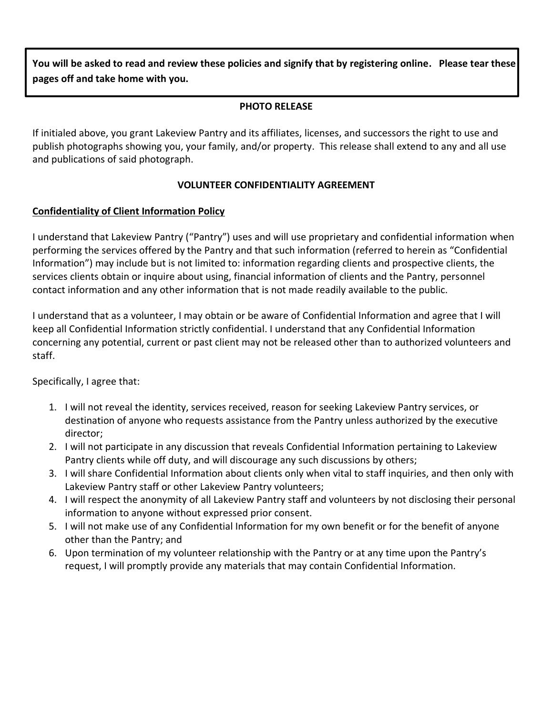**You will be asked to read and review these policies and signify that by registering online. Please tear these pages off and take home with you.**

# **PHOTO RELEASE**

If initialed above, you grant Lakeview Pantry and its affiliates, licenses, and successors the right to use and publish photographs showing you, your family, and/or property. This release shall extend to any and all use and publications of said photograph.

## **VOLUNTEER CONFIDENTIALITY AGREEMENT**

## **Confidentiality of Client Information Policy**

I understand that Lakeview Pantry ("Pantry") uses and will use proprietary and confidential information when performing the services offered by the Pantry and that such information (referred to herein as "Confidential Information") may include but is not limited to: information regarding clients and prospective clients, the services clients obtain or inquire about using, financial information of clients and the Pantry, personnel contact information and any other information that is not made readily available to the public.

I understand that as a volunteer, I may obtain or be aware of Confidential Information and agree that I will keep all Confidential Information strictly confidential. I understand that any Confidential Information concerning any potential, current or past client may not be released other than to authorized volunteers and staff.

### Specifically, I agree that:

- 1. I will not reveal the identity, services received, reason for seeking Lakeview Pantry services, or destination of anyone who requests assistance from the Pantry unless authorized by the executive director;
- 2. I will not participate in any discussion that reveals Confidential Information pertaining to Lakeview Pantry clients while off duty, and will discourage any such discussions by others;
- 3. I will share Confidential Information about clients only when vital to staff inquiries, and then only with Lakeview Pantry staff or other Lakeview Pantry volunteers;
- 4. I will respect the anonymity of all Lakeview Pantry staff and volunteers by not disclosing their personal information to anyone without expressed prior consent.
- 5. I will not make use of any Confidential Information for my own benefit or for the benefit of anyone other than the Pantry; and
- 6. Upon termination of my volunteer relationship with the Pantry or at any time upon the Pantry's request, I will promptly provide any materials that may contain Confidential Information.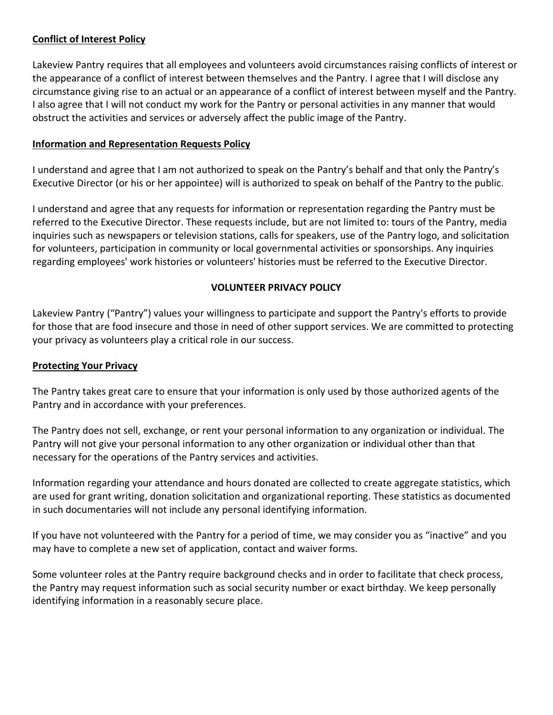## **Conflict of Interest Policy**

Lakeview Pantry requires that all employees and volunteers avoid circumstances raising conflicts of interest or the appearance of a conflict of interest between themselves and the Pantry. I agree that I will disclose any circumstance giving rise to an actual or an appearance of a conflict of interest between myself and the Pantry. I also agree that I will not conduct my work for the Pantry or personal activities in any manner that would obstruct the activities and services or adversely affect the public image of the Pantry.

### **Information and Representation Requests Policy**

I understand and agree that I am not authorized to speak on the Pantry's behalf and that only the Pantry's Executive Director (or his or her appointee) will is authorized to speak on behalf of the Pantry to the public.

I understand and agree that any requests for information or representation regarding the Pantry must be referred to the Executive Director. These requests include, but are not limited to: tours of the Pantry, media inquiries such as newspapers or television stations, calls for speakers, use of the Pantry logo, and solicitation for volunteers, participation in community or local governmental activities or sponsorships. Any inquiries regarding employees' work histories or volunteers' histories must be referred to the Executive Director.

### **VOLUNTEER PRIVACY POLICY**

Lakeview Pantry ("Pantry") values your willingness to participate and support the Pantry's efforts to provide for those that are food insecure and those in need of other support services. We are committed to protecting your privacy as volunteers play a critical role in our success.

### **Protecting Your Privacy**

The Pantry takes great care to ensure that your information is only used by those authorized agents of the Pantry and in accordance with your preferences.

The Pantry does not sell, exchange, or rent your personal information to any organization or individual. The Pantry will not give your personal information to any other organization or individual other than that necessary for the operations of the Pantry services and activities.

Information regarding your attendance and hours donated are collected to create aggregate statistics, which are used for grant writing, donation solicitation and organizational reporting. These statistics as documented in such documentaries will not include any personal identifying information.

If you have not volunteered with the Pantry for a period of time, we may consider you as "inactive" and you may have to complete a new set of application, contact and waiver forms.

Some volunteer roles at the Pantry require background checks and in order to facilitate that check process, the Pantry may request information such as social security number or exact birthday. We keep personally identifying information in a reasonably secure place.